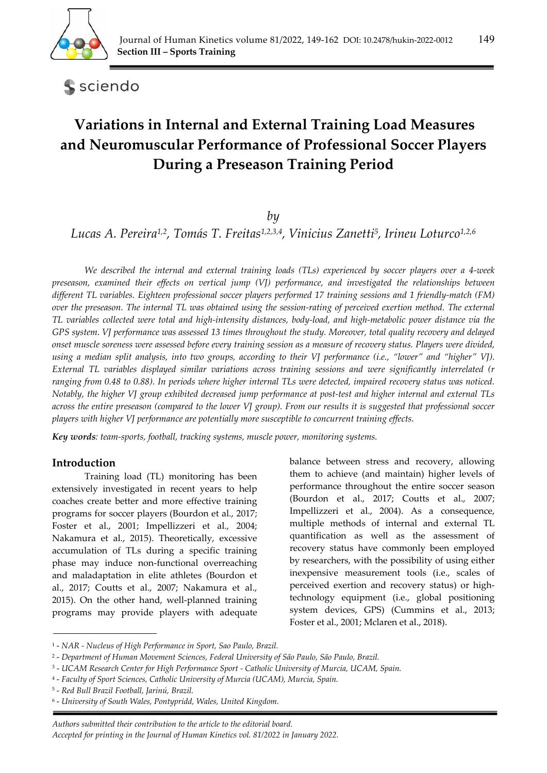

sciendo

# **Variations in Internal and External Training Load Measures and Neuromuscular Performance of Professional Soccer Players During a Preseason Training Period**

## *by*

*Lucas A. Pereira1,2, Tomás T. Freitas1,2,3,4, Vinicius Zanetti5, Irineu Loturco1,2,6*

*We described the internal and external training loads (TLs) experienced by soccer players over a 4-week preseason, examined their effects on vertical jump (VJ) performance, and investigated the relationships between different TL variables. Eighteen professional soccer players performed 17 training sessions and 1 friendly-match (FM) over the preseason. The internal TL was obtained using the session-rating of perceived exertion method. The external TL variables collected were total and high-intensity distances, body-load, and high-metabolic power distance via the GPS system. VJ performance was assessed 13 times throughout the study. Moreover, total quality recovery and delayed onset muscle soreness were assessed before every training session as a measure of recovery status. Players were divided, using a median split analysis, into two groups, according to their VJ performance (i.e., "lower" and "higher" VJ). External TL variables displayed similar variations across training sessions and were significantly interrelated (r ranging from 0.48 to 0.88). In periods where higher internal TLs were detected, impaired recovery status was noticed. Notably, the higher VJ group exhibited decreased jump performance at post-test and higher internal and external TLs across the entire preseason (compared to the lower VJ group). From our results it is suggested that professional soccer players with higher VJ performance are potentially more susceptible to concurrent training effects.* 

*Key words: team-sports, football, tracking systems, muscle power, monitoring systems.* 

## **Introduction**

Training load (TL) monitoring has been extensively investigated in recent years to help coaches create better and more effective training programs for soccer players (Bourdon et al., 2017; Foster et al., 2001; Impellizzeri et al., 2004; Nakamura et al., 2015). Theoretically, excessive accumulation of TLs during a specific training phase may induce non-functional overreaching and maladaptation in elite athletes (Bourdon et al., 2017; Coutts et al., 2007; Nakamura et al., 2015). On the other hand, well-planned training programs may provide players with adequate

balance between stress and recovery, allowing them to achieve (and maintain) higher levels of performance throughout the entire soccer season (Bourdon et al., 2017; Coutts et al., 2007; Impellizzeri et al., 2004). As a consequence, multiple methods of internal and external TL quantification as well as the assessment of recovery status have commonly been employed by researchers, with the possibility of using either inexpensive measurement tools (i.e., scales of perceived exertion and recovery status) or hightechnology equipment (i.e., global positioning system devices, GPS) (Cummins et al., 2013; Foster et al., 2001; Mclaren et al., 2018).

<sup>1 -</sup> *NAR - Nucleus of High Performance in Sport, Sao Paulo, Brazil.* 

<sup>2 -</sup> *Department of Human Movement Sciences, Federal University of São Paulo, São Paulo, Brazil.* 

<sup>3 -</sup> *UCAM Research Center for High Performance Sport - Catholic University of Murcia, UCAM, Spain.* 

<sup>4 -</sup> *Faculty of Sport Sciences, Catholic University of Murcia (UCAM), Murcia, Spain.* 

<sup>5 -</sup> *Red Bull Brazil Football, Jarinú, Brazil.* 

<sup>6 -</sup> *University of South Wales, Pontypridd, Wales, United Kingdom.*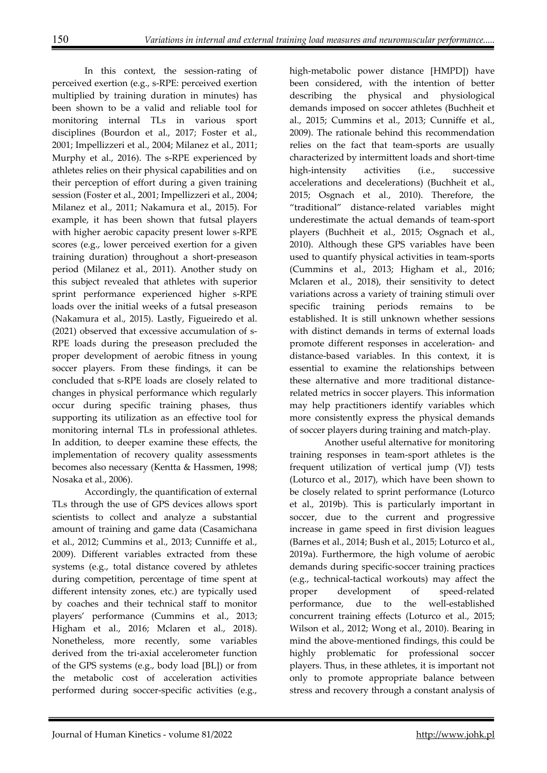In this context, the session-rating of perceived exertion (e.g., s-RPE: perceived exertion multiplied by training duration in minutes) has been shown to be a valid and reliable tool for monitoring internal TLs in various sport disciplines (Bourdon et al., 2017; Foster et al., 2001; Impellizzeri et al., 2004; Milanez et al., 2011; Murphy et al., 2016). The s-RPE experienced by athletes relies on their physical capabilities and on their perception of effort during a given training session (Foster et al., 2001; Impellizzeri et al., 2004; Milanez et al., 2011; Nakamura et al., 2015). For example, it has been shown that futsal players with higher aerobic capacity present lower s-RPE scores (e.g., lower perceived exertion for a given training duration) throughout a short-preseason period (Milanez et al., 2011). Another study on this subject revealed that athletes with superior sprint performance experienced higher s-RPE loads over the initial weeks of a futsal preseason (Nakamura et al., 2015). Lastly, Figueiredo et al. (2021) observed that excessive accumulation of s-RPE loads during the preseason precluded the proper development of aerobic fitness in young soccer players. From these findings, it can be concluded that s-RPE loads are closely related to changes in physical performance which regularly occur during specific training phases, thus supporting its utilization as an effective tool for monitoring internal TLs in professional athletes. In addition, to deeper examine these effects, the implementation of recovery quality assessments becomes also necessary (Kentta & Hassmen, 1998; Nosaka et al., 2006).

Accordingly, the quantification of external TLs through the use of GPS devices allows sport scientists to collect and analyze a substantial amount of training and game data (Casamichana et al., 2012; Cummins et al., 2013; Cunniffe et al., 2009). Different variables extracted from these systems (e.g., total distance covered by athletes during competition, percentage of time spent at different intensity zones, etc.) are typically used by coaches and their technical staff to monitor players' performance (Cummins et al., 2013; Higham et al., 2016; Mclaren et al., 2018). Nonetheless, more recently, some variables derived from the tri-axial accelerometer function of the GPS systems (e.g., body load [BL]) or from the metabolic cost of acceleration activities performed during soccer-specific activities (e.g.,

high-metabolic power distance [HMPD]) have been considered, with the intention of better describing the physical and physiological demands imposed on soccer athletes (Buchheit et al., 2015; Cummins et al., 2013; Cunniffe et al., 2009). The rationale behind this recommendation relies on the fact that team-sports are usually characterized by intermittent loads and short-time high-intensity activities (i.e., successive accelerations and decelerations) (Buchheit et al., 2015; Osgnach et al., 2010). Therefore, the "traditional" distance-related variables might underestimate the actual demands of team-sport players (Buchheit et al., 2015; Osgnach et al., 2010). Although these GPS variables have been used to quantify physical activities in team-sports (Cummins et al., 2013; Higham et al., 2016; Mclaren et al., 2018), their sensitivity to detect variations across a variety of training stimuli over specific training periods remains to be established. It is still unknown whether sessions with distinct demands in terms of external loads promote different responses in acceleration- and distance-based variables. In this context, it is essential to examine the relationships between these alternative and more traditional distancerelated metrics in soccer players. This information may help practitioners identify variables which more consistently express the physical demands of soccer players during training and match-play.

 Another useful alternative for monitoring training responses in team-sport athletes is the frequent utilization of vertical jump (VJ) tests (Loturco et al., 2017), which have been shown to be closely related to sprint performance (Loturco et al., 2019b). This is particularly important in soccer, due to the current and progressive increase in game speed in first division leagues (Barnes et al., 2014; Bush et al., 2015; Loturco et al., 2019a). Furthermore, the high volume of aerobic demands during specific-soccer training practices (e.g., technical-tactical workouts) may affect the proper development of speed-related performance, due to the well-established concurrent training effects (Loturco et al., 2015; Wilson et al., 2012; Wong et al., 2010). Bearing in mind the above-mentioned findings, this could be highly problematic for professional soccer players. Thus, in these athletes, it is important not only to promote appropriate balance between stress and recovery through a constant analysis of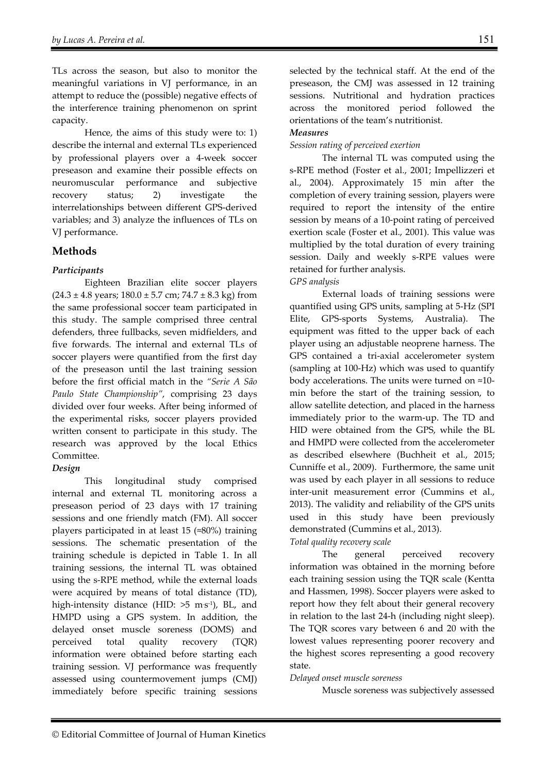TLs across the season, but also to monitor the meaningful variations in VJ performance, in an attempt to reduce the (possible) negative effects of the interference training phenomenon on sprint capacity.

Hence, the aims of this study were to: 1) describe the internal and external TLs experienced by professional players over a 4-week soccer preseason and examine their possible effects on neuromuscular performance and subjective recovery status; 2) investigate the interrelationships between different GPS-derived variables; and 3) analyze the influences of TLs on VJ performance.

# **Methods**

## *Participants*

 Eighteen Brazilian elite soccer players  $(24.3 \pm 4.8 \text{ years}; 180.0 \pm 5.7 \text{ cm}; 74.7 \pm 8.3 \text{ kg})$  from the same professional soccer team participated in this study. The sample comprised three central defenders, three fullbacks, seven midfielders, and five forwards. The internal and external TLs of soccer players were quantified from the first day of the preseason until the last training session before the first official match in the *"Serie A São Paulo State Championship"*, comprising 23 days divided over four weeks. After being informed of the experimental risks, soccer players provided written consent to participate in this study. The research was approved by the local Ethics Committee.

## *Design*

 This longitudinal study comprised internal and external TL monitoring across a preseason period of 23 days with 17 training sessions and one friendly match (FM). All soccer players participated in at least 15 (≈80%) training sessions. The schematic presentation of the training schedule is depicted in Table 1. In all training sessions, the internal TL was obtained using the s-RPE method, while the external loads were acquired by means of total distance (TD), high-intensity distance (HID: >5 m·s<sup>-1</sup>), BL, and HMPD using a GPS system. In addition, the delayed onset muscle soreness (DOMS) and perceived total quality recovery (TQR) information were obtained before starting each training session. VJ performance was frequently assessed using countermovement jumps (CMJ) immediately before specific training sessions

selected by the technical staff. At the end of the preseason, the CMJ was assessed in 12 training sessions. Nutritional and hydration practices across the monitored period followed the orientations of the team's nutritionist.

## *Measures*

*Session rating of perceived exertion* 

The internal TL was computed using the s-RPE method (Foster et al., 2001; Impellizzeri et al., 2004). Approximately 15 min after the completion of every training session, players were required to report the intensity of the entire session by means of a 10-point rating of perceived exertion scale (Foster et al., 2001). This value was multiplied by the total duration of every training session. Daily and weekly s-RPE values were retained for further analysis. *GPS analysis*

External loads of training sessions were quantified using GPS units, sampling at 5-Hz (SPI Elite, GPS-sports Systems, Australia). The equipment was fitted to the upper back of each player using an adjustable neoprene harness. The GPS contained a tri-axial accelerometer system (sampling at 100-Hz) which was used to quantify body accelerations. The units were turned on ≈10 min before the start of the training session, to allow satellite detection, and placed in the harness immediately prior to the warm-up. The TD and HID were obtained from the GPS, while the BL and HMPD were collected from the accelerometer as described elsewhere (Buchheit et al., 2015; Cunniffe et al., 2009). Furthermore, the same unit was used by each player in all sessions to reduce inter-unit measurement error (Cummins et al., 2013). The validity and reliability of the GPS units used in this study have been previously demonstrated (Cummins et al., 2013).

## *Total quality recovery scale*

 The general perceived recovery information was obtained in the morning before each training session using the TQR scale (Kentta and Hassmen, 1998). Soccer players were asked to report how they felt about their general recovery in relation to the last 24-h (including night sleep). The TQR scores vary between 6 and 20 with the lowest values representing poorer recovery and the highest scores representing a good recovery state.

### *Delayed onset muscle soreness*

Muscle soreness was subjectively assessed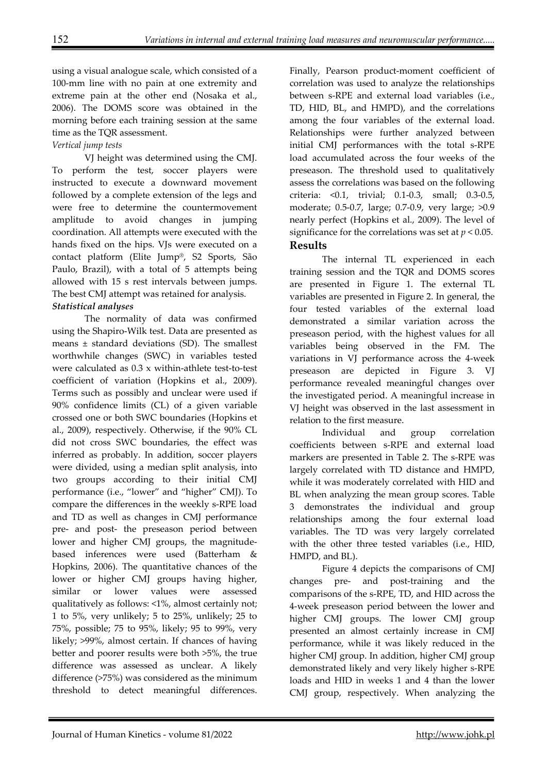using a visual analogue scale, which consisted of a 100-mm line with no pain at one extremity and extreme pain at the other end (Nosaka et al., 2006). The DOMS score was obtained in the morning before each training session at the same time as the TQR assessment.

## *Vertical jump tests*

VJ height was determined using the CMJ. To perform the test, soccer players were instructed to execute a downward movement followed by a complete extension of the legs and were free to determine the countermovement amplitude to avoid changes in jumping coordination. All attempts were executed with the hands fixed on the hips. VJs were executed on a contact platform (Elite Jump®, S2 Sports, São Paulo, Brazil), with a total of 5 attempts being allowed with 15 s rest intervals between jumps. The best CMJ attempt was retained for analysis. *Statistical analyses* 

 The normality of data was confirmed using the Shapiro-Wilk test. Data are presented as means ± standard deviations (SD). The smallest worthwhile changes (SWC) in variables tested were calculated as 0.3 x within-athlete test-to-test coefficient of variation (Hopkins et al., 2009). Terms such as possibly and unclear were used if 90% confidence limits (CL) of a given variable crossed one or both SWC boundaries (Hopkins et al., 2009), respectively. Otherwise, if the 90% CL did not cross SWC boundaries, the effect was inferred as probably. In addition, soccer players were divided, using a median split analysis, into two groups according to their initial CMJ performance (i.e., "lower" and "higher" CMJ). To compare the differences in the weekly s-RPE load and TD as well as changes in CMJ performance pre- and post- the preseason period between lower and higher CMJ groups, the magnitudebased inferences were used (Batterham & Hopkins, 2006). The quantitative chances of the lower or higher CMJ groups having higher, similar or lower values were assessed qualitatively as follows: <1%, almost certainly not; 1 to 5%, very unlikely; 5 to 25%, unlikely; 25 to 75%, possible; 75 to 95%, likely; 95 to 99%, very likely; >99%, almost certain. If chances of having better and poorer results were both >5%, the true difference was assessed as unclear. A likely difference (>75%) was considered as the minimum threshold to detect meaningful differences.

Finally, Pearson product-moment coefficient of correlation was used to analyze the relationships between s-RPE and external load variables (i.e., TD, HID, BL, and HMPD), and the correlations among the four variables of the external load. Relationships were further analyzed between initial CMJ performances with the total s-RPE load accumulated across the four weeks of the preseason. The threshold used to qualitatively assess the correlations was based on the following criteria: <0.1, trivial; 0.1-0.3, small; 0.3-0.5, moderate; 0.5-0.7, large; 0.7-0.9, very large; >0.9 nearly perfect (Hopkins et al., 2009). The level of significance for the correlations was set at *p* < 0.05. **Results** 

The internal TL experienced in each training session and the TQR and DOMS scores are presented in Figure 1. The external TL variables are presented in Figure 2. In general, the four tested variables of the external load demonstrated a similar variation across the preseason period, with the highest values for all variables being observed in the FM. The variations in VJ performance across the 4-week preseason are depicted in Figure 3. VJ performance revealed meaningful changes over the investigated period. A meaningful increase in VJ height was observed in the last assessment in relation to the first measure.

 Individual and group correlation coefficients between s-RPE and external load markers are presented in Table 2. The s-RPE was largely correlated with TD distance and HMPD, while it was moderately correlated with HID and BL when analyzing the mean group scores. Table 3 demonstrates the individual and group relationships among the four external load variables. The TD was very largely correlated with the other three tested variables (i.e., HID, HMPD, and BL).

 Figure 4 depicts the comparisons of CMJ changes pre- and post-training and the comparisons of the s-RPE, TD, and HID across the 4-week preseason period between the lower and higher CMJ groups. The lower CMJ group presented an almost certainly increase in CMJ performance, while it was likely reduced in the higher CMJ group. In addition, higher CMJ group demonstrated likely and very likely higher s-RPE loads and HID in weeks 1 and 4 than the lower CMJ group, respectively. When analyzing the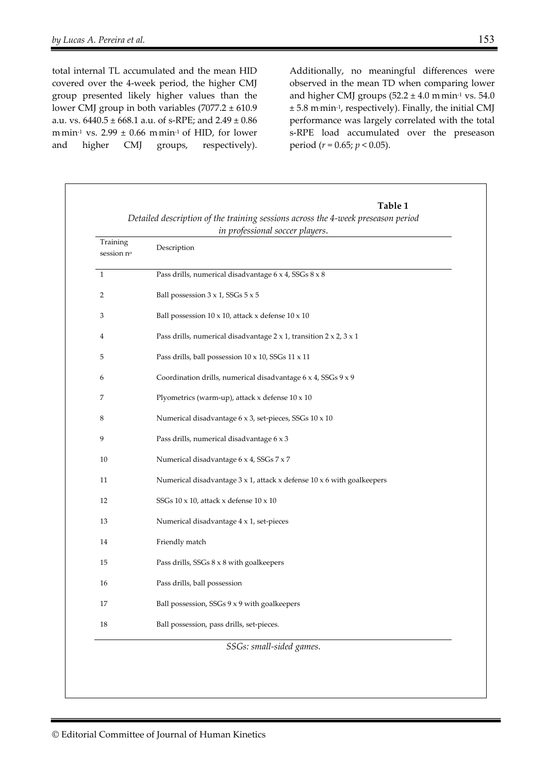total internal TL accumulated and the mean HID covered over the 4-week period, the higher CMJ group presented likely higher values than the lower CMJ group in both variables (7077.2 ± 610.9 a.u. vs.  $6440.5 \pm 668.1$  a.u. of s-RPE; and  $2.49 \pm 0.86$  $mmin<sup>-1</sup>$  vs. 2.99  $\pm$  0.66  $mmin<sup>-1</sup>$  of HID, for lower and higher CMJ groups, respectively).

Additionally, no meaningful differences were observed in the mean TD when comparing lower and higher CMJ groups  $(52.2 \pm 4.0 \text{ m}\cdot\text{min}^{-1}\text{ vs. }54.0)$ ± 5.8 m. min-1, respectively). Finally, the initial CMJ performance was largely correlated with the total s-RPE load accumulated over the preseason period (*r* = 0.65; *p* < 0.05).

| Training<br>session nº  | Description                                                                                  |  |  |  |  |
|-------------------------|----------------------------------------------------------------------------------------------|--|--|--|--|
| $\mathbf{1}$            | Pass drills, numerical disadvantage 6 x 4, SSGs 8 x 8                                        |  |  |  |  |
| $\overline{2}$          | Ball possession 3 x 1, SSGs 5 x 5                                                            |  |  |  |  |
| 3                       | Ball possession $10 \times 10$ , attack x defense $10 \times 10$                             |  |  |  |  |
| $\overline{\mathbf{4}}$ | Pass drills, numerical disadvantage $2 \times 1$ , transition $2 \times 2$ , $3 \times 1$    |  |  |  |  |
| 5                       | Pass drills, ball possession 10 x 10, SSGs 11 x 11                                           |  |  |  |  |
| 6                       | Coordination drills, numerical disadvantage 6 x 4, SSGs 9 x 9                                |  |  |  |  |
| 7                       | Plyometrics (warm-up), attack $x$ defense $10 \times 10$                                     |  |  |  |  |
| 8                       | Numerical disadvantage 6 x 3, set-pieces, SSGs 10 x 10                                       |  |  |  |  |
| 9                       | Pass drills, numerical disadvantage 6 x 3                                                    |  |  |  |  |
| 10                      | Numerical disadvantage 6 x 4, SSGs 7 x 7                                                     |  |  |  |  |
| 11                      | Numerical disadvantage $3 \times 1$ , attack $\times$ defense $10 \times 6$ with goalkeepers |  |  |  |  |
| 12                      | SSGs 10 x 10, attack x defense 10 x 10                                                       |  |  |  |  |
| 13                      | Numerical disadvantage 4 x 1, set-pieces                                                     |  |  |  |  |
| 14                      | Friendly match                                                                               |  |  |  |  |
| 15                      | Pass drills, SSGs 8 x 8 with goalkeepers                                                     |  |  |  |  |
| 16                      | Pass drills, ball possession                                                                 |  |  |  |  |
| 17                      | Ball possession, SSGs 9 x 9 with goalkeepers                                                 |  |  |  |  |
| $18\,$                  | Ball possession, pass drills, set-pieces.                                                    |  |  |  |  |
|                         | SSGs: small-sided games.                                                                     |  |  |  |  |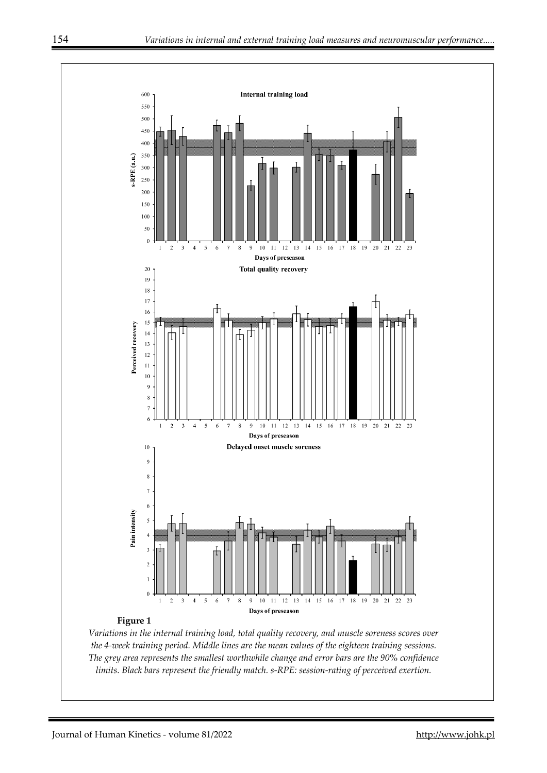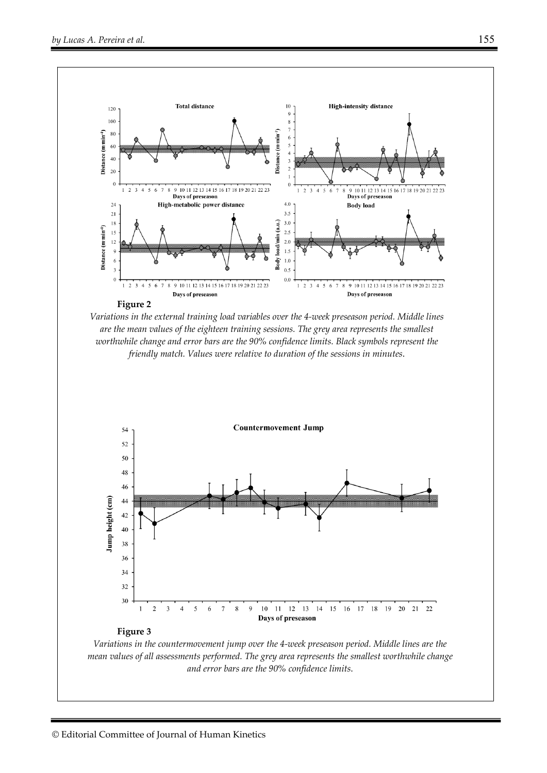

*Variations in the external training load variables over the 4-week preseason period. Middle lines are the mean values of the eighteen training sessions. The grey area represents the smallest worthwhile change and error bars are the 90% confidence limits. Black symbols represent the friendly match. Values were relative to duration of the sessions in minutes*.



*Variations in the countermovement jump over the 4-week preseason period. Middle lines are the mean values of all assessments performed. The grey area represents the smallest worthwhile change and error bars are the 90% confidence limits*.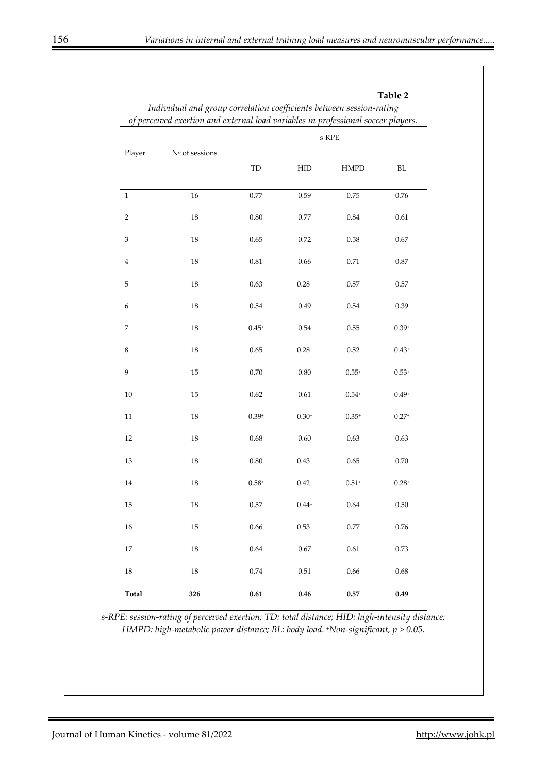| Player                    | $\mathrm{N}^\mathrm{o}$ of sessions | $\mbox{s-RPE}$ |                               |             |            |  |
|---------------------------|-------------------------------------|----------------|-------------------------------|-------------|------------|--|
|                           |                                     |                |                               |             |            |  |
|                           |                                     | TD             | <b>HID</b>                    | <b>HMPD</b> | $\rm BL$   |  |
| $\,1$                     | 16                                  | 0.77           | 0.59                          | 0.75        | $0.76\,$   |  |
| $\sqrt{2}$                | $18\,$                              | 0.80           | $0.77\,$                      | 0.84        | 0.61       |  |
| $\ensuremath{\mathsf{3}}$ | $18\,$                              | 0.65           | 0.72                          | 0.58        | 0.67       |  |
| $\bf 4$                   | $18\,$                              | 0.81           | 0.66                          | 0.71        | $0.87\,$   |  |
| $\mathbf 5$               | 18                                  | 0.63           | $0.28^{+}$                    | $0.57\,$    | 0.57       |  |
| $\epsilon$                | $18\,$                              | $0.54\,$       | 0.49                          | 0.54        | 0.39       |  |
| $\boldsymbol{7}$          | 18                                  | $0.45+$        | 0.54                          | 0.55        | $0.39+$    |  |
| $\,8\,$                   | 18                                  | 0.65           | $0.28^{+}$                    | 0.52        | $0.43^{+}$ |  |
| 9                         | 15                                  | $0.70\,$       | 0.80                          | $0.55+$     | $0.53*$    |  |
| $10\,$                    | 15                                  | 0.62           | $0.61\,$                      | $0.54+$     | $0.49+$    |  |
| $11\,$                    | $18\,$                              | $0.39 +$       | $0.30+$                       | $0.35+$     | $0.27+$    |  |
| $12\,$                    | $18\,$                              | 0.68           | 0.60                          | 0.63        | 0.63       |  |
| $13\,$                    | $18\,$                              | $0.80\,$       | $0.43+$                       | 0.65        | $0.70\,$   |  |
| $14\,$                    | $18\,$                              | $0.58*$        | $0.42+$                       | $0.51+$     | $0.28 +$   |  |
| $15\,$                    | $18\,$                              | $0.57\,$       | $0.44^{\scriptscriptstyle +}$ | $0.64\,$    | $0.50\,$   |  |
| $16\,$                    | 15                                  | 0.66           | $0.53+$                       | 0.77        | $0.76\,$   |  |
| $17\,$                    | $18\,$                              | $0.64\,$       | $0.67\,$                      | $0.61\,$    | 0.73       |  |
| $18\,$                    | $18\,$                              | $0.74\,$       | $0.51\,$                      | 0.66        | 0.68       |  |
| Total                     | 326                                 | $\bf 0.61$     | 0.46                          | 0.57        | 0.49       |  |

*s-RPE: session-rating of perceived exertion; TD: total distance; HID: high-intensity distance; HMPD: high-metabolic power distance; BL: body load. +Non-significant, p > 0.05*.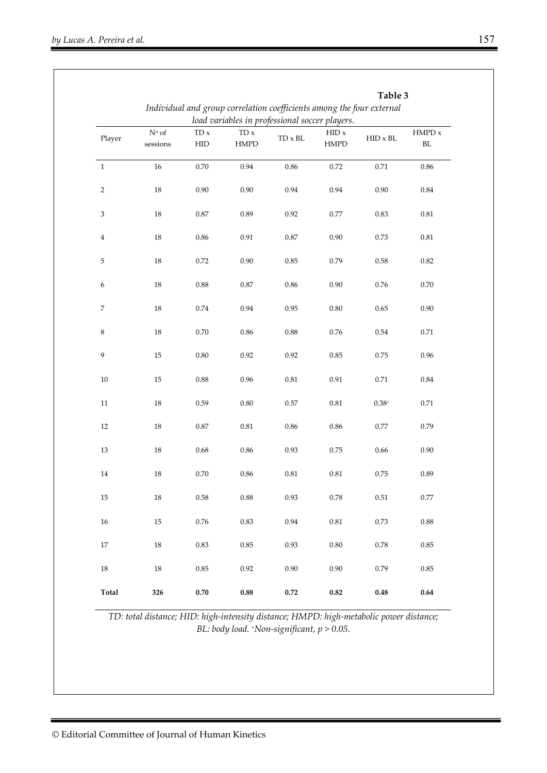|                           | Table 3<br>Individual and group correlation coefficients among the four external |                                                |                            |            |                      |                 |                             |  |  |  |  |
|---------------------------|----------------------------------------------------------------------------------|------------------------------------------------|----------------------------|------------|----------------------|-----------------|-----------------------------|--|--|--|--|
|                           |                                                                                  | load variables in professional soccer players. |                            |            |                      |                 |                             |  |  |  |  |
| Player                    | $N^{\rm o}$ of<br>sessions                                                       | $TD \times$<br><b>HID</b>                      | $TD \times$<br><b>HMPD</b> | TD x BL    | HID x<br><b>HMPD</b> | $HID \times BL$ | $\mbox{HMPD}$ x<br>$\rm BL$ |  |  |  |  |
| $\mathbf{1}$              | 16                                                                               | 0.70                                           | 0.94                       | 0.86       | 0.72                 | 0.71            | 0.86                        |  |  |  |  |
| $\sqrt{2}$                | 18                                                                               | $0.90\,$                                       | 0.90                       | 0.94       | 0.94                 | 0.90            | $\rm 0.84$                  |  |  |  |  |
| $\ensuremath{\mathsf{3}}$ | 18                                                                               | $0.87\,$                                       | 0.89                       | 0.92       | 0.77                 | 0.83            | $\rm 0.81$                  |  |  |  |  |
| $\bf{4}$                  | 18                                                                               | 0.86                                           | 0.91                       | $0.87\,$   | 0.90                 | 0.73            | $\rm 0.81$                  |  |  |  |  |
| $\mathbf 5$               | 18                                                                               | 0.72                                           | 0.90                       | 0.85       | 0.79                 | 0.58            | 0.82                        |  |  |  |  |
| 6                         | 18                                                                               | $0.88\,$                                       | 0.87                       | 0.86       | 0.90                 | $0.76\,$        | 0.70                        |  |  |  |  |
| $\boldsymbol{7}$          | 18                                                                               | $0.74\,$                                       | 0.94                       | 0.95       | $0.80\,$             | 0.65            | 0.90                        |  |  |  |  |
| $\,8\,$                   | 18                                                                               | $0.70\,$                                       | $0.86\,$                   | $\rm 0.88$ | $0.76\,$             | $0.54\,$        | 0.71                        |  |  |  |  |
| 9                         | 15                                                                               | $0.80\,$                                       | 0.92                       | 0.92       | 0.85                 | 0.75            | 0.96                        |  |  |  |  |
| $10\,$                    | 15                                                                               | $0.88\,$                                       | 0.96                       | $\rm 0.81$ | 0.91                 | $0.71\,$        | 0.84                        |  |  |  |  |
| $11\,$                    | 18                                                                               | 0.59                                           | 0.80                       | $0.57\,$   | $\rm 0.81$           | $0.38*$         | 0.71                        |  |  |  |  |
| $12\,$                    | 18                                                                               | $0.87\,$                                       | 0.81                       | 0.86       | 0.86                 | 0.77            | 0.79                        |  |  |  |  |
| $13\,$                    | 18                                                                               | $0.68\,$                                       | $0.86\,$                   | 0.93       | 0.75                 | 0.66            | 0.90                        |  |  |  |  |
| 14                        | 18                                                                               | 0.70                                           | 0.86                       | $\rm 0.81$ | 0.81                 | 0.75            | 0.89                        |  |  |  |  |
| 15                        | 18                                                                               | $0.58\,$                                       | $0.88\,$                   | 0.93       | $0.78\,$             | $0.51\,$        | 0.77                        |  |  |  |  |
| $16\,$                    | 15                                                                               | $0.76\,$                                       | 0.83                       | 0.94       | $\rm 0.81$           | 0.73            | $0.88\,$                    |  |  |  |  |
| 17                        | 18                                                                               | 0.83                                           | 0.85                       | 0.93       | $0.80\,$             | 0.78            | $0.85\,$                    |  |  |  |  |
| 18                        | $18\,$                                                                           | 0.85                                           | 0.92                       | 0.90       | 0.90                 | 0.79            | $0.85\,$                    |  |  |  |  |
| <b>Total</b>              | 326                                                                              | 0.70                                           | $0.88\,$                   | $0.72\,$   | $\bf 0.82$           | $\bf 0.48$      | 0.64                        |  |  |  |  |

*TD: total distance; HID: high-intensity distance; HMPD: high-metabolic power distance; BL: body load. +Non-significant, p > 0.05*.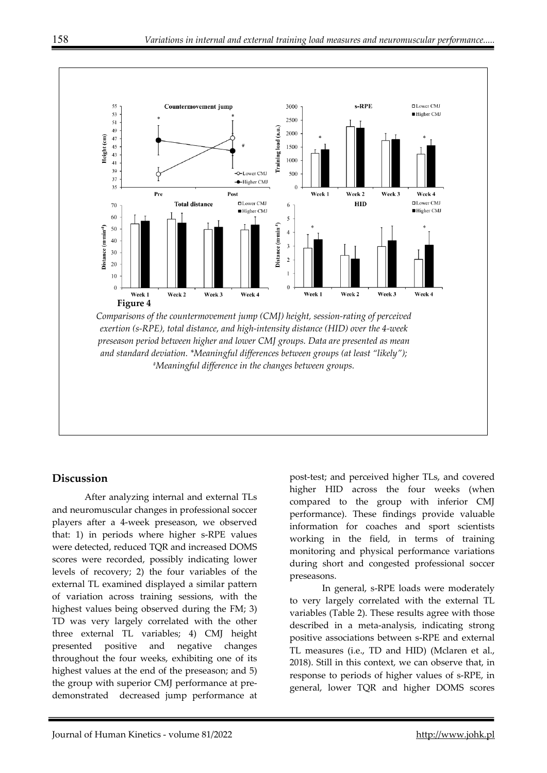

## **Discussion**

After analyzing internal and external TLs and neuromuscular changes in professional soccer players after a 4-week preseason, we observed that: 1) in periods where higher s-RPE values were detected, reduced TQR and increased DOMS scores were recorded, possibly indicating lower levels of recovery; 2) the four variables of the external TL examined displayed a similar pattern of variation across training sessions, with the highest values being observed during the FM; 3) TD was very largely correlated with the other three external TL variables; 4) CMJ height presented positive and negative changes throughout the four weeks, exhibiting one of its highest values at the end of the preseason; and 5) the group with superior CMJ performance at predemonstrated decreased jump performance at

post-test; and perceived higher TLs, and covered higher HID across the four weeks (when compared to the group with inferior CMJ performance). These findings provide valuable information for coaches and sport scientists working in the field, in terms of training monitoring and physical performance variations during short and congested professional soccer preseasons.

 In general, s-RPE loads were moderately to very largely correlated with the external TL variables (Table 2). These results agree with those described in a meta-analysis, indicating strong positive associations between s-RPE and external TL measures (i.e., TD and HID) (Mclaren et al., 2018). Still in this context, we can observe that, in response to periods of higher values of s-RPE, in general, lower TQR and higher DOMS scores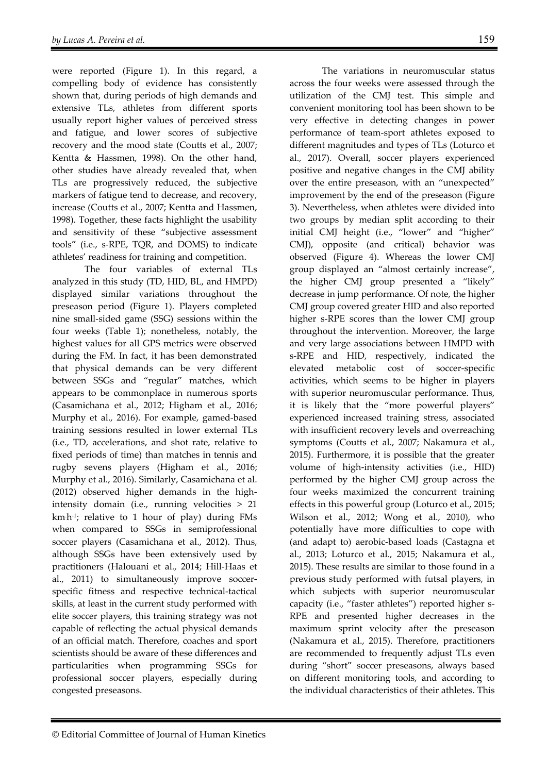were reported (Figure 1). In this regard, a compelling body of evidence has consistently shown that, during periods of high demands and extensive TLs, athletes from different sports usually report higher values of perceived stress and fatigue, and lower scores of subjective recovery and the mood state (Coutts et al., 2007; Kentta & Hassmen, 1998). On the other hand, other studies have already revealed that, when TLs are progressively reduced, the subjective markers of fatigue tend to decrease, and recovery, increase (Coutts et al., 2007; Kentta and Hassmen, 1998). Together, these facts highlight the usability and sensitivity of these "subjective assessment tools" (i.e., s-RPE, TQR, and DOMS) to indicate athletes' readiness for training and competition.

 The four variables of external TLs analyzed in this study (TD, HID, BL, and HMPD) displayed similar variations throughout the preseason period (Figure 1). Players completed nine small-sided game (SSG) sessions within the four weeks (Table 1); nonetheless, notably, the highest values for all GPS metrics were observed during the FM. In fact, it has been demonstrated that physical demands can be very different between SSGs and "regular" matches, which appears to be commonplace in numerous sports (Casamichana et al., 2012; Higham et al., 2016; Murphy et al., 2016). For example, gamed-based training sessions resulted in lower external TLs (i.e., TD, accelerations, and shot rate, relative to fixed periods of time) than matches in tennis and rugby sevens players (Higham et al., 2016; Murphy et al., 2016). Similarly, Casamichana et al. (2012) observed higher demands in the highintensity domain (i.e., running velocities > 21 km. h-1; relative to 1 hour of play) during FMs when compared to SSGs in semiprofessional soccer players (Casamichana et al., 2012). Thus, although SSGs have been extensively used by practitioners (Halouani et al., 2014; Hill-Haas et al., 2011) to simultaneously improve soccerspecific fitness and respective technical-tactical skills, at least in the current study performed with elite soccer players, this training strategy was not capable of reflecting the actual physical demands of an official match. Therefore, coaches and sport scientists should be aware of these differences and particularities when programming SSGs for professional soccer players, especially during congested preseasons.

The variations in neuromuscular status across the four weeks were assessed through the utilization of the CMJ test. This simple and convenient monitoring tool has been shown to be very effective in detecting changes in power performance of team-sport athletes exposed to different magnitudes and types of TLs (Loturco et al., 2017). Overall, soccer players experienced positive and negative changes in the CMJ ability over the entire preseason, with an "unexpected" improvement by the end of the preseason (Figure 3). Nevertheless, when athletes were divided into two groups by median split according to their initial CMJ height (i.e., "lower" and "higher" CMJ), opposite (and critical) behavior was observed (Figure 4). Whereas the lower CMJ group displayed an "almost certainly increase", the higher CMJ group presented a "likely" decrease in jump performance. Of note, the higher CMJ group covered greater HID and also reported higher s-RPE scores than the lower CMJ group throughout the intervention. Moreover, the large and very large associations between HMPD with s-RPE and HID, respectively, indicated the elevated metabolic cost of soccer-specific activities, which seems to be higher in players with superior neuromuscular performance. Thus, it is likely that the "more powerful players" experienced increased training stress, associated with insufficient recovery levels and overreaching symptoms (Coutts et al., 2007; Nakamura et al., 2015). Furthermore, it is possible that the greater volume of high-intensity activities (i.e., HID) performed by the higher CMJ group across the four weeks maximized the concurrent training effects in this powerful group (Loturco et al., 2015; Wilson et al., 2012; Wong et al., 2010), who potentially have more difficulties to cope with (and adapt to) aerobic-based loads (Castagna et al., 2013; Loturco et al., 2015; Nakamura et al., 2015). These results are similar to those found in a previous study performed with futsal players, in which subjects with superior neuromuscular capacity (i.e., "faster athletes") reported higher s-RPE and presented higher decreases in the maximum sprint velocity after the preseason (Nakamura et al., 2015). Therefore, practitioners are recommended to frequently adjust TLs even during "short" soccer preseasons, always based on different monitoring tools, and according to the individual characteristics of their athletes. This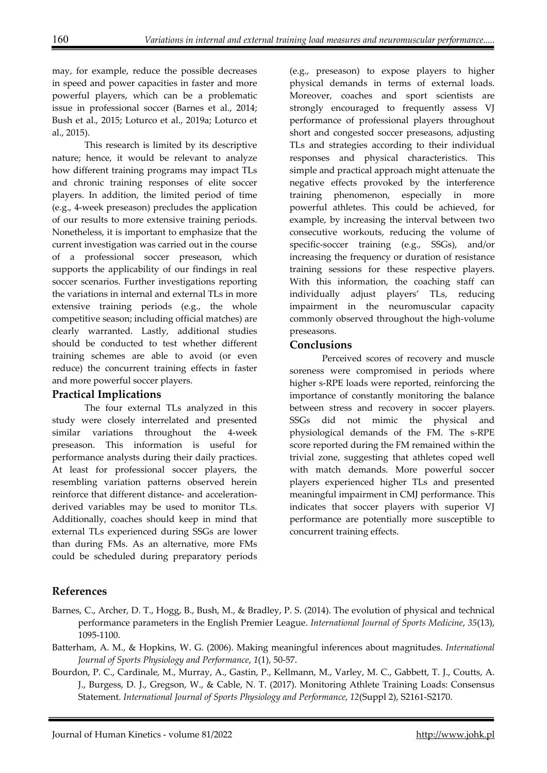may, for example, reduce the possible decreases in speed and power capacities in faster and more powerful players, which can be a problematic issue in professional soccer (Barnes et al., 2014; Bush et al., 2015; Loturco et al., 2019a; Loturco et al., 2015).

 This research is limited by its descriptive nature; hence, it would be relevant to analyze how different training programs may impact TLs and chronic training responses of elite soccer players. In addition, the limited period of time (e.g., 4-week preseason) precludes the application of our results to more extensive training periods. Nonetheless, it is important to emphasize that the current investigation was carried out in the course of a professional soccer preseason, which supports the applicability of our findings in real soccer scenarios. Further investigations reporting the variations in internal and external TLs in more extensive training periods (e.g., the whole competitive season; including official matches) are clearly warranted. Lastly, additional studies should be conducted to test whether different training schemes are able to avoid (or even reduce) the concurrent training effects in faster and more powerful soccer players.

## **Practical Implications**

 The four external TLs analyzed in this study were closely interrelated and presented similar variations throughout the 4-week preseason. This information is useful for performance analysts during their daily practices. At least for professional soccer players, the resembling variation patterns observed herein reinforce that different distance- and accelerationderived variables may be used to monitor TLs. Additionally, coaches should keep in mind that external TLs experienced during SSGs are lower than during FMs. As an alternative, more FMs could be scheduled during preparatory periods

(e.g., preseason) to expose players to higher physical demands in terms of external loads. Moreover, coaches and sport scientists are strongly encouraged to frequently assess VJ performance of professional players throughout short and congested soccer preseasons, adjusting TLs and strategies according to their individual responses and physical characteristics. This simple and practical approach might attenuate the negative effects provoked by the interference training phenomenon, especially in more powerful athletes. This could be achieved, for example, by increasing the interval between two consecutive workouts, reducing the volume of specific-soccer training (e.g., SSGs), and/or increasing the frequency or duration of resistance training sessions for these respective players. With this information, the coaching staff can individually adjust players' TLs, reducing impairment in the neuromuscular capacity commonly observed throughout the high-volume preseasons.

## **Conclusions**

Perceived scores of recovery and muscle soreness were compromised in periods where higher s-RPE loads were reported, reinforcing the importance of constantly monitoring the balance between stress and recovery in soccer players. SSGs did not mimic the physical and physiological demands of the FM. The s-RPE score reported during the FM remained within the trivial zone, suggesting that athletes coped well with match demands. More powerful soccer players experienced higher TLs and presented meaningful impairment in CMJ performance. This indicates that soccer players with superior VJ performance are potentially more susceptible to concurrent training effects.

# **References**

- Barnes, C., Archer, D. T., Hogg, B., Bush, M., & Bradley, P. S. (2014). The evolution of physical and technical performance parameters in the English Premier League. *International Journal of Sports Medicine*, *35*(13), 1095-1100.
- Batterham, A. M., & Hopkins, W. G. (2006). Making meaningful inferences about magnitudes. *International Journal of Sports Physiology and Performance*, *1*(1), 50-57.
- Bourdon, P. C., Cardinale, M., Murray, A., Gastin, P., Kellmann, M., Varley, M. C., Gabbett, T. J., Coutts, A. J., Burgess, D. J., Gregson, W., & Cable, N. T. (2017). Monitoring Athlete Training Loads: Consensus Statement. *International Journal of Sports Physiology and Performance*, *12*(Suppl 2), S2161-S2170.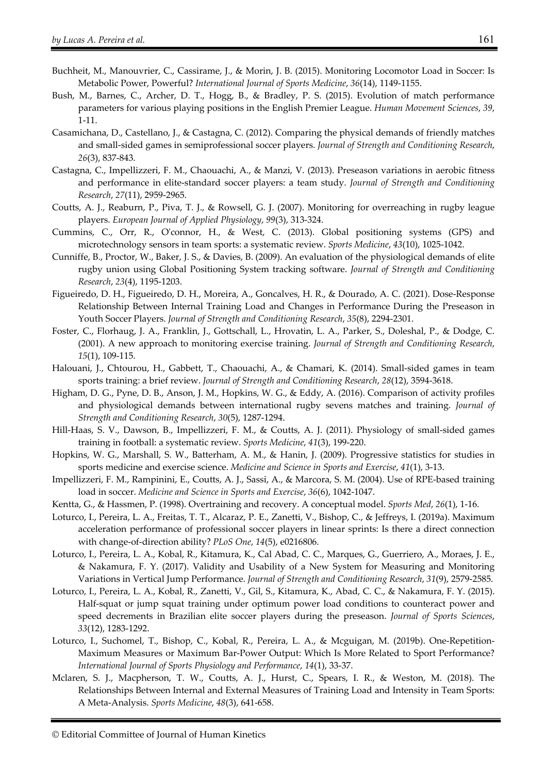- Buchheit, M., Manouvrier, C., Cassirame, J., & Morin, J. B. (2015). Monitoring Locomotor Load in Soccer: Is Metabolic Power, Powerful? *International Journal of Sports Medicine*, *36*(14), 1149-1155.
- Bush, M., Barnes, C., Archer, D. T., Hogg, B., & Bradley, P. S. (2015). Evolution of match performance parameters for various playing positions in the English Premier League. *Human Movement Sciences*, *39*, 1-11.
- Casamichana, D., Castellano, J., & Castagna, C. (2012). Comparing the physical demands of friendly matches and small-sided games in semiprofessional soccer players. *Journal of Strength and Conditioning Research*, *26*(3), 837-843.
- Castagna, C., Impellizzeri, F. M., Chaouachi, A., & Manzi, V. (2013). Preseason variations in aerobic fitness and performance in elite-standard soccer players: a team study. *Journal of Strength and Conditioning Research*, *27*(11), 2959-2965.
- Coutts, A. J., Reaburn, P., Piva, T. J., & Rowsell, G. J. (2007). Monitoring for overreaching in rugby league players. *European Journal of Applied Physiology*, *99*(3), 313-324.
- Cummins, C., Orr, R., O'connor, H., & West, C. (2013). Global positioning systems (GPS) and microtechnology sensors in team sports: a systematic review. *Sports Medicine*, *43*(10), 1025-1042.
- Cunniffe, B., Proctor, W., Baker, J. S., & Davies, B. (2009). An evaluation of the physiological demands of elite rugby union using Global Positioning System tracking software. *Journal of Strength and Conditioning Research*, *23*(4), 1195-1203.
- Figueiredo, D. H., Figueiredo, D. H., Moreira, A., Goncalves, H. R., & Dourado, A. C. (2021). Dose-Response Relationship Between Internal Training Load and Changes in Performance During the Preseason in Youth Soccer Players. *Journal of Strength and Conditioning Research*, *35*(8), 2294-2301.
- Foster, C., Florhaug, J. A., Franklin, J., Gottschall, L., Hrovatin, L. A., Parker, S., Doleshal, P., & Dodge, C. (2001). A new approach to monitoring exercise training. *Journal of Strength and Conditioning Research*, *15*(1), 109-115.
- Halouani, J., Chtourou, H., Gabbett, T., Chaouachi, A., & Chamari, K. (2014). Small-sided games in team sports training: a brief review. *Journal of Strength and Conditioning Research*, *28*(12), 3594-3618.
- Higham, D. G., Pyne, D. B., Anson, J. M., Hopkins, W. G., & Eddy, A. (2016). Comparison of activity profiles and physiological demands between international rugby sevens matches and training. *Journal of Strength and Conditioning Research*, *30*(5), 1287-1294.
- Hill-Haas, S. V., Dawson, B., Impellizzeri, F. M., & Coutts, A. J. (2011). Physiology of small-sided games training in football: a systematic review. *Sports Medicine*, *41*(3), 199-220.
- Hopkins, W. G., Marshall, S. W., Batterham, A. M., & Hanin, J. (2009). Progressive statistics for studies in sports medicine and exercise science. *Medicine and Science in Sports and Exercise*, *41*(1), 3-13.
- Impellizzeri, F. M., Rampinini, E., Coutts, A. J., Sassi, A., & Marcora, S. M. (2004). Use of RPE-based training load in soccer. *Medicine and Science in Sports and Exercise*, *36*(6), 1042-1047.
- Kentta, G., & Hassmen, P. (1998). Overtraining and recovery. A conceptual model. *Sports Med*, *26*(1), 1-16.
- Loturco, I., Pereira, L. A., Freitas, T. T., Alcaraz, P. E., Zanetti, V., Bishop, C., & Jeffreys, I. (2019a). Maximum acceleration performance of professional soccer players in linear sprints: Is there a direct connection with change-of-direction ability? *PLoS One*, *14*(5), e0216806.
- Loturco, I., Pereira, L. A., Kobal, R., Kitamura, K., Cal Abad, C. C., Marques, G., Guerriero, A., Moraes, J. E., & Nakamura, F. Y. (2017). Validity and Usability of a New System for Measuring and Monitoring Variations in Vertical Jump Performance. *Journal of Strength and Conditioning Research*, *31*(9), 2579-2585.
- Loturco, I., Pereira, L. A., Kobal, R., Zanetti, V., Gil, S., Kitamura, K., Abad, C. C., & Nakamura, F. Y. (2015). Half-squat or jump squat training under optimum power load conditions to counteract power and speed decrements in Brazilian elite soccer players during the preseason. *Journal of Sports Sciences*, *33*(12), 1283-1292.
- Loturco, I., Suchomel, T., Bishop, C., Kobal, R., Pereira, L. A., & Mcguigan, M. (2019b). One-Repetition-Maximum Measures or Maximum Bar-Power Output: Which Is More Related to Sport Performance? *International Journal of Sports Physiology and Performance*, *14*(1), 33-37.
- Mclaren, S. J., Macpherson, T. W., Coutts, A. J., Hurst, C., Spears, I. R., & Weston, M. (2018). The Relationships Between Internal and External Measures of Training Load and Intensity in Team Sports: A Meta-Analysis. *Sports Medicine*, *48*(3), 641-658.